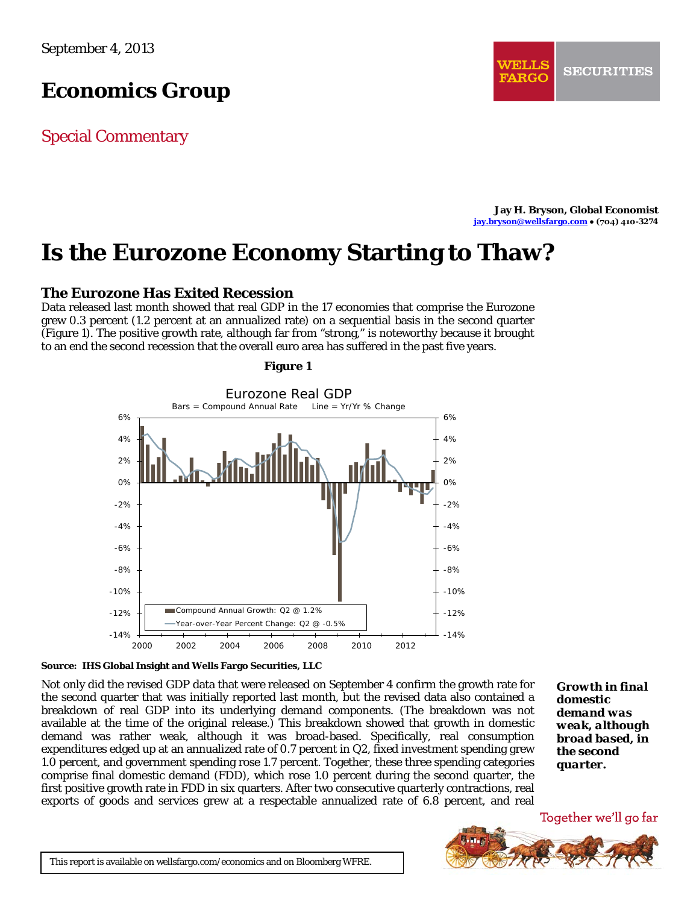# *Economics Group*

Special Commentary

**Jay H. Bryson, Global Economist [jay.bryson@wellsfargo.com](mailto:jay.bryson@wellsfargo.com) ● (704) 410-3274**

# **Is the Eurozone Economy Starting to Thaw?**

# **The Eurozone Has Exited Recession**

Data released last month showed that real GDP in the 17 economies that comprise the Eurozone grew 0.3 percent (1.2 percent at an annualized rate) on a sequential basis in the second quarter (Figure 1). The positive growth rate, although far from "strong," is noteworthy because it brought to an end the second recession that the overall euro area has suffered in the past five years.



## **Figure 1**

### **Source: IHS Global Insight and Wells Fargo Securities, LLC**

Not only did the revised GDP data that were released on September 4 confirm the growth rate for the second quarter that was initially reported last month, but the revised data also contained a breakdown of real GDP into its underlying demand components. (The breakdown was not available at the time of the original release.) This breakdown showed that growth in domestic demand was rather weak, although it was broad-based. Specifically, real consumption expenditures edged up at an annualized rate of 0.7 percent in Q2, fixed investment spending grew 1.0 percent, and government spending rose 1.7 percent. Together, these three spending categories comprise final domestic demand (FDD), which rose 1.0 percent during the second quarter, the first positive growth rate in FDD in six quarters. After two consecutive quarterly contractions, real exports of goods and services grew at a respectable annualized rate of 6.8 percent, and real

*Growth in final domestic demand was weak, although broad based, in the second quarter.*

Together we'll go far

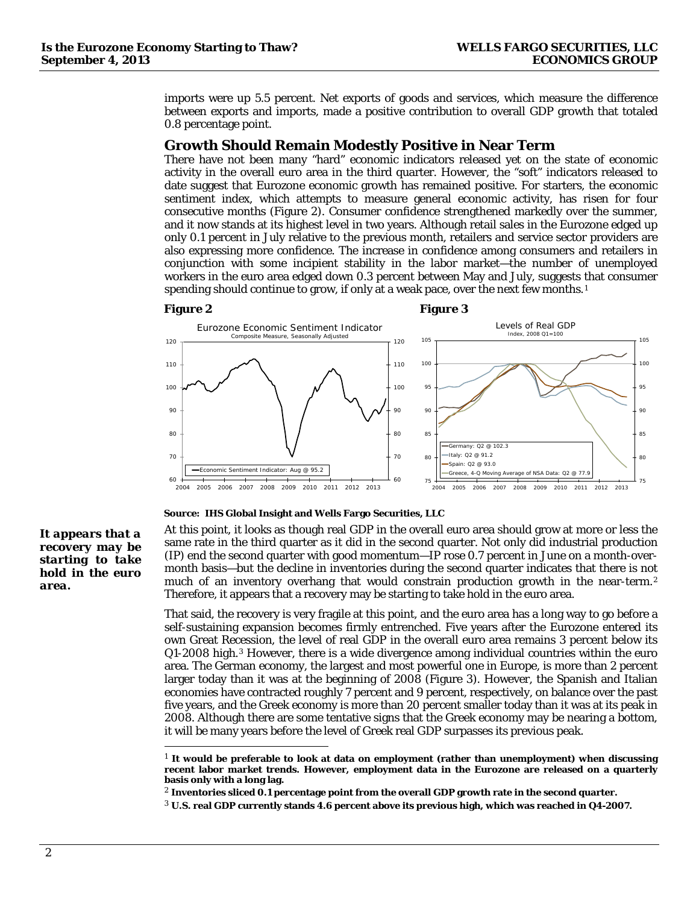imports were up 5.5 percent. Net exports of goods and services, which measure the difference between exports and imports, made a positive contribution to overall GDP growth that totaled 0.8 percentage point.

# **Growth Should Remain Modestly Positive in Near Term**

There have not been many "hard" economic indicators released yet on the state of economic activity in the overall euro area in the third quarter. However, the "soft" indicators released to date suggest that Eurozone economic growth has remained positive. For starters, the economic sentiment index, which attempts to measure general economic activity, has risen for four consecutive months (Figure 2). Consumer confidence strengthened markedly over the summer, and it now stands at its highest level in two years. Although retail sales in the Eurozone edged up only 0.1 percent in July relative to the previous month, retailers and service sector providers are also expressing more confidence. The increase in confidence among consumers and retailers in conjunction with some incipient stability in the labor market—the number of unemployed workers in the euro area edged down 0.3 percent between May and July, suggests that consumer spending should continue to grow, if only at a weak pace, over the next few months.[1](#page-1-0)

#### **Figure 2 Figure 3**



#### **Source: IHS Global Insight and Wells Fargo Securities, LLC**

*It appears that a recovery may be starting to take hold in the euro area.*

At this point, it looks as though real GDP in the overall euro area should grow at more or less the same rate in the third quarter as it did in the second quarter. Not only did industrial production (IP) end the second quarter with good momentum—IP rose 0.7 percent in June on a month-overmonth basis—but the decline in inventories during the second quarter indicates that there is not much of an inventory overhang that would constrain production growth in the near-term.[2](#page-1-1) Therefore, it appears that a recovery may be starting to take hold in the euro area.

That said, the recovery is very fragile at this point, and the euro area has a long way to go before a self-sustaining expansion becomes firmly entrenched. Five years after the Eurozone entered its own Great Recession, the level of real GDP in the overall euro area remains 3 percent below its Q1-2008 high.[3](#page-1-2) However, there is a wide divergence among individual countries within the euro area. The German economy, the largest and most powerful one in Europe, is more than 2 percent larger today than it was at the beginning of 2008 (Figure 3). However, the Spanish and Italian economies have contracted roughly 7 percent and 9 percent, respectively, on balance over the past five years, and the Greek economy is more than 20 percent smaller today than it was at its peak in 2008. Although there are some tentative signs that the Greek economy may be nearing a bottom, it will be many years before the level of Greek real GDP surpasses its previous peak.

<span id="page-1-0"></span> <sup>1</sup> **It would be preferable to look at data on employment (rather than unemployment) when discussing recent labor market trends. However, employment data in the Eurozone are released on a quarterly basis only with a long lag.** 

<span id="page-1-1"></span><sup>2</sup> **Inventories sliced 0.1 percentage point from the overall GDP growth rate in the second quarter.** 

<span id="page-1-2"></span><sup>3</sup> **U.S. real GDP currently stands 4.6 percent above its previous high, which was reached in Q4-2007.**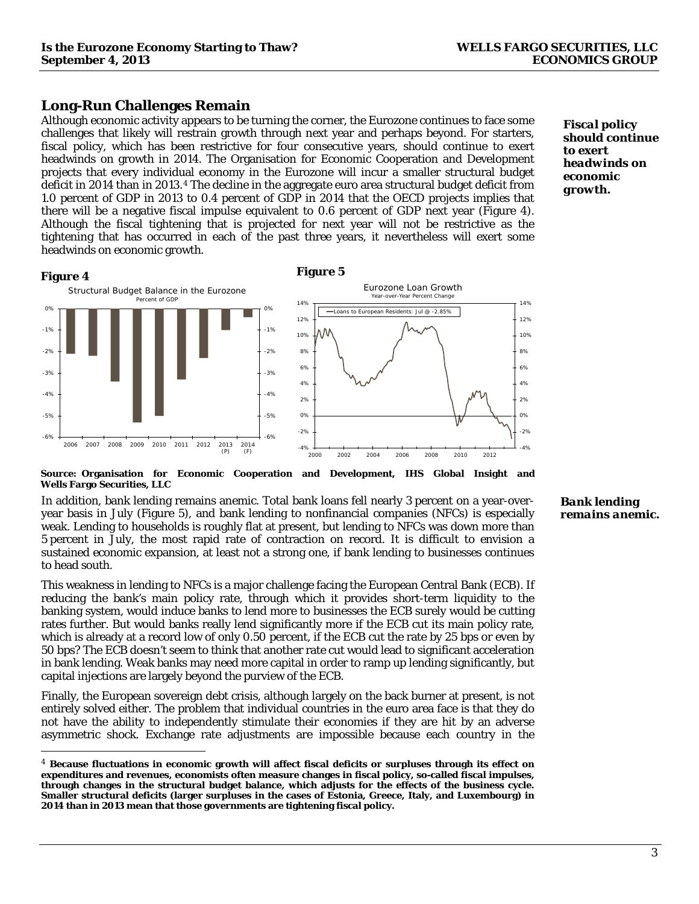# **Long-Run Challenges Remain**

Although economic activity appears to be turning the corner, the Eurozone continues to face some challenges that likely will restrain growth through next year and perhaps beyond. For starters, fiscal policy, which has been restrictive for four consecutive years, should continue to exert headwinds on growth in 2014. The Organisation for Economic Cooperation and Development projects that every individual economy in the Eurozone will incur a smaller structural budget deficit in 2014 than in 2013.[4](#page-2-0) The decline in the aggregate euro area structural budget deficit from 1.0 percent of GDP in 2013 to 0.4 percent of GDP in 2014 that the OECD projects implies that there will be a negative fiscal impulse equivalent to 0.6 percent of GDP next year (Figure 4). Although the fiscal tightening that is projected for next year will not be restrictive as the tightening that has occurred in each of the past three years, it nevertheless will exert some headwinds on economic growth.





*Fiscal policy should continue to exert headwinds on economic growth.*

# **Source: Organisation for Economic Cooperation and Development, IHS Global Insight and Wells Fargo Securities, LLC**

In addition, bank lending remains anemic. Total bank loans fell nearly 3 percent on a year-overyear basis in July (Figure 5), and bank lending to nonfinancial companies (NFCs) is especially weak. Lending to households is roughly flat at present, but lending to NFCs was down more than 5 percent in July, the most rapid rate of contraction on record. It is difficult to envision a sustained economic expansion, at least not a strong one, if bank lending to businesses continues to head south.

This weakness in lending to NFCs is a major challenge facing the European Central Bank (ECB). If reducing the bank's main policy rate, through which it provides short-term liquidity to the banking system, would induce banks to lend more to businesses the ECB surely would be cutting rates further. But would banks really lend significantly more if the ECB cut its main policy rate, which is already at a record low of only 0.50 percent, if the ECB cut the rate by 25 bps or even by 50 bps? The ECB doesn't seem to think that another rate cut would lead to significant acceleration in bank lending. Weak banks may need more capital in order to ramp up lending significantly, but capital injections are largely beyond the purview of the ECB.

Finally, the European sovereign debt crisis, although largely on the back burner at present, is not entirely solved either. The problem that individual countries in the euro area face is that they do not have the ability to independently stimulate their economies if they are hit by an adverse asymmetric shock. Exchange rate adjustments are impossible because each country in the

#### *Bank lending remains anemic.*

-4% -2% 0% 2% 4% 6% 8% 10% 12% 14%

<span id="page-2-0"></span> <sup>4</sup> **Because fluctuations in economic growth will affect fiscal deficits or surpluses through its effect on expenditures and revenues, economists often measure changes in fiscal policy, so-called fiscal impulses, through changes in the structural budget balance, which adjusts for the effects of the business cycle. Smaller structural deficits (larger surpluses in the cases of Estonia, Greece, Italy, and Luxembourg) in 2014 than in 2013 mean that those governments are tightening fiscal policy.**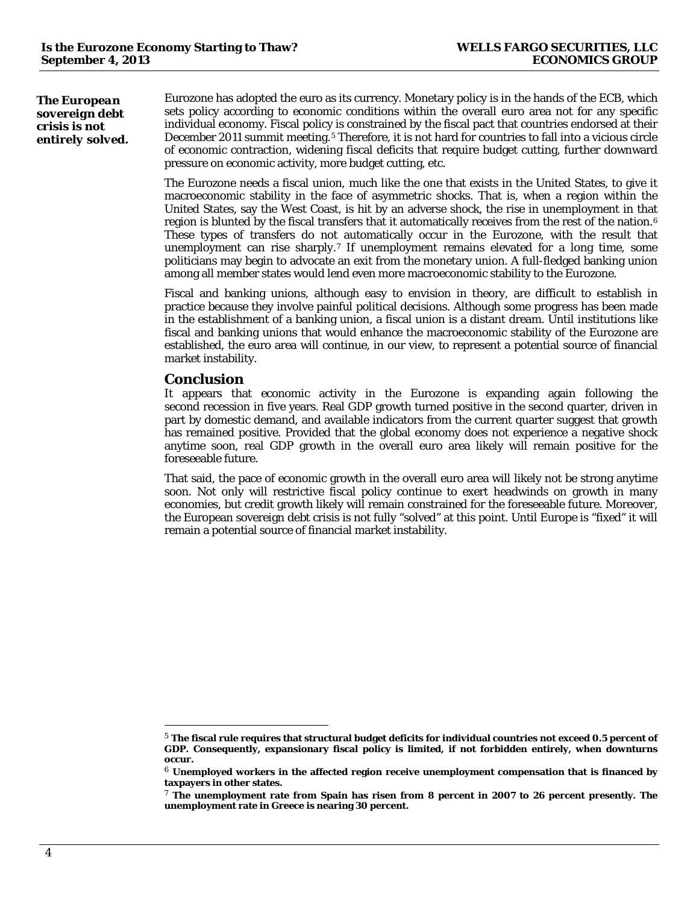*The European sovereign debt crisis is not entirely solved.* Eurozone has adopted the euro as its currency. Monetary policy is in the hands of the ECB, which sets policy according to economic conditions within the overall euro area not for any specific individual economy. Fiscal policy is constrained by the fiscal pact that countries endorsed at their December 2011 summit meeting.[5](#page-3-0) Therefore, it is not hard for countries to fall into a vicious circle of economic contraction, widening fiscal deficits that require budget cutting, further downward pressure on economic activity, more budget cutting, etc.

The Eurozone needs a fiscal union, much like the one that exists in the United States, to give it macroeconomic stability in the face of asymmetric shocks. That is, when a region within the United States, say the West Coast, is hit by an adverse shock, the rise in unemployment in that region is blunted by the fiscal transfers that it automatically receives from the rest of the nation.[6](#page-3-1) These types of transfers do not automatically occur in the Eurozone, with the result that unemployment can rise sharply.[7](#page-3-2) If unemployment remains elevated for a long time, some politicians may begin to advocate an exit from the monetary union. A full-fledged banking union among all member states would lend even more macroeconomic stability to the Eurozone.

Fiscal and banking unions, although easy to envision in theory, are difficult to establish in practice because they involve painful political decisions. Although some progress has been made in the establishment of a banking union, a fiscal union is a distant dream. Until institutions like fiscal and banking unions that would enhance the macroeconomic stability of the Eurozone are established, the euro area will continue, in our view, to represent a potential source of financial market instability.

# **Conclusion**

It appears that economic activity in the Eurozone is expanding again following the second recession in five years. Real GDP growth turned positive in the second quarter, driven in part by domestic demand, and available indicators from the current quarter suggest that growth has remained positive. Provided that the global economy does not experience a negative shock anytime soon, real GDP growth in the overall euro area likely will remain positive for the foreseeable future.

That said, the pace of economic growth in the overall euro area will likely not be strong anytime soon. Not only will restrictive fiscal policy continue to exert headwinds on growth in many economies, but credit growth likely will remain constrained for the foreseeable future. Moreover, the European sovereign debt crisis is not fully "solved" at this point. Until Europe is "fixed" it will remain a potential source of financial market instability.

<span id="page-3-0"></span> <sup>5</sup> **The fiscal rule requires that structural budget deficits for individual countries not exceed 0.5 percent of GDP. Consequently, expansionary fiscal policy is limited, if not forbidden entirely, when downturns occur.**

<span id="page-3-1"></span><sup>6</sup> **Unemployed workers in the affected region receive unemployment compensation that is financed by taxpayers in other states.**

<span id="page-3-2"></span><sup>7</sup> **The unemployment rate from Spain has risen from 8 percent in 2007 to 26 percent presently. The unemployment rate in Greece is nearing 30 percent.**